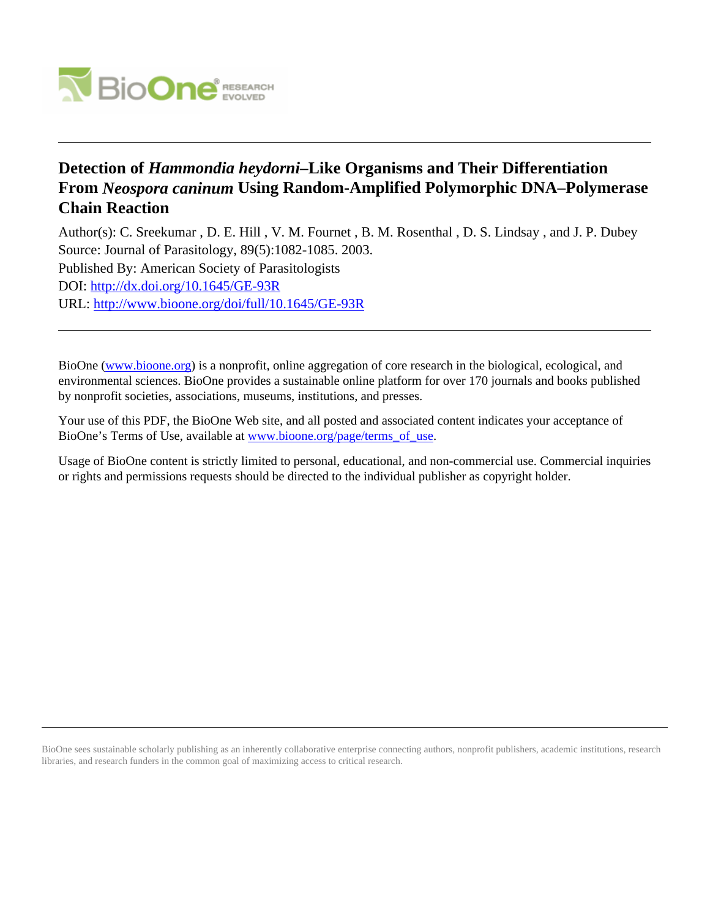

## **Detection of** *Hammondia heydorni***–Like Organisms and Their Differentiation From** *Neospora caninum* **Using Random-Amplified Polymorphic DNA–Polymerase Chain Reaction**

Author(s): C. Sreekumar , D. E. Hill , V. M. Fournet , B. M. Rosenthal , D. S. Lindsay , and J. P. Dubey Source: Journal of Parasitology, 89(5):1082-1085. 2003. Published By: American Society of Parasitologists DOI:<http://dx.doi.org/10.1645/GE-93R> URL: <http://www.bioone.org/doi/full/10.1645/GE-93R>

BioOne [\(www.bioone.org\)](http://www.bioone.org) is a nonprofit, online aggregation of core research in the biological, ecological, and environmental sciences. BioOne provides a sustainable online platform for over 170 journals and books published by nonprofit societies, associations, museums, institutions, and presses.

Your use of this PDF, the BioOne Web site, and all posted and associated content indicates your acceptance of BioOne's Terms of Use, available at [www.bioone.org/page/terms\\_of\\_use.](http://www.bioone.org/page/terms_of_use)

Usage of BioOne content is strictly limited to personal, educational, and non-commercial use. Commercial inquiries or rights and permissions requests should be directed to the individual publisher as copyright holder.

BioOne sees sustainable scholarly publishing as an inherently collaborative enterprise connecting authors, nonprofit publishers, academic institutions, research libraries, and research funders in the common goal of maximizing access to critical research.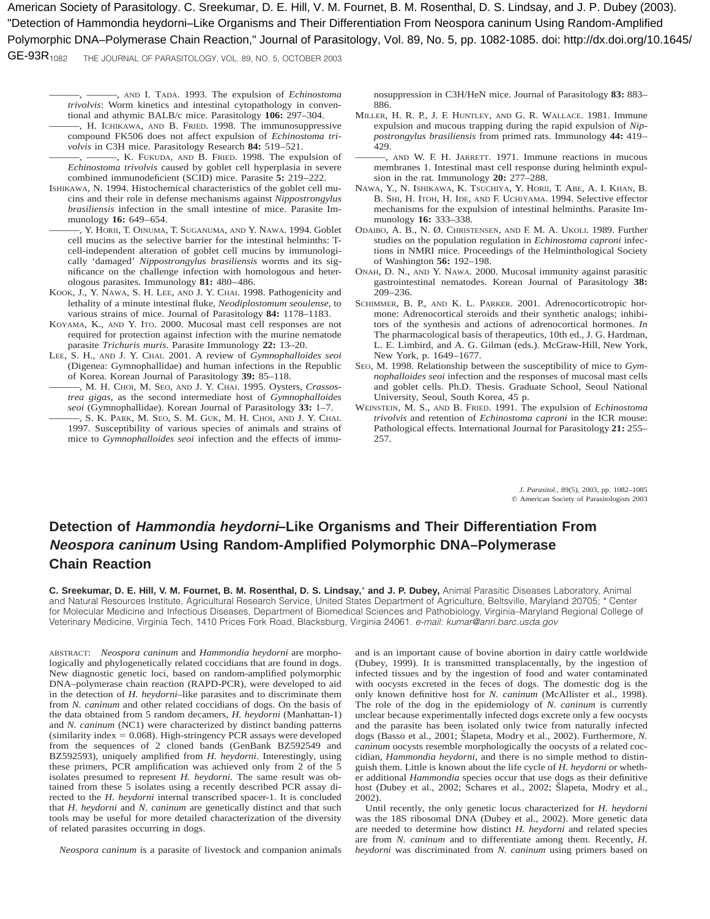American Society of Parasitology. C. Sreekumar, D. E. Hill, V. M. Fournet, B. M. Rosenthal, D. S. Lindsay, and J. P. Dubey (2003). "Detection of Hammondia heydorni–Like Organisms and Their Differentiation From Neospora caninum Using Random-Amplified Polymorphic DNA–Polymerase Chain Reaction," Journal of Parasitology, Vol. 89, No. 5, pp. 1082-1085. doi: http://dx.doi.org/10.1645/

THE JOURNAL OF PARASITOLOGY, VOL. 89, NO. 5, OCTOBER 2003 GE-93R<sub>1082</sub>

> ———, ———, AND I. TADA. 1993. The expulsion of *Echinostoma trivolvis*: Worm kinetics and intestinal cytopathology in conventional and athymic BALB/c mice. Parasitology **106:** 297–304.

- ———, H. ICHIKAWA, AND B. FRIED. 1998. The immunosuppressive compound FK506 does not affect expulsion of *Echinostoma trivolvis* in C3H mice. Parasitology Research **84:** 519–521.
- ———, ———, K. FUKUDA, AND B. FRIED. 1998. The expulsion of *Echinostoma trivolvis* caused by goblet cell hyperplasia in severe combined immunodeficient (SCID) mice. Parasite **5:** 219–222.
- ISHIKAWA, N. 1994. Histochemical characteristics of the goblet cell mucins and their role in defense mechanisms against *Nippostrongylus brasiliensis* infection in the small intestine of mice. Parasite Immunology **16:** 649–654.
- ———, Y. HORII, T. OINUMA, T. SUGANUMA, AND Y. NAWA. 1994. Goblet cell mucins as the selective barrier for the intestinal helminths: Tcell-independent alteration of goblet cell mucins by immunologically 'damaged' *Nippostrongylus brasiliensis* worms and its significance on the challenge infection with homologous and heterologous parasites. Immunology **81:** 480–486.
- KOOK, J., Y. NAWA, S. H. LEE, AND J. Y. CHAI. 1998. Pathogenicity and lethality of a minute intestinal fluke, *Neodiplostomum seoulense*, to various strains of mice. Journal of Parasitology **84:** 1178–1183.
- KOYAMA, K., AND Y. ITO. 2000. Mucosal mast cell responses are not required for protection against infection with the murine nematode parasite *Trichuris muris*. Parasite Immunology **22:** 13–20.
- LEE, S. H., AND J. Y. CHAI. 2001. A review of *Gymnophalloides seoi* (Digenea: Gymnophallidae) and human infections in the Republic of Korea. Korean Journal of Parasitology **39:** 85–118.
- ———, M. H. CHOI, M. SEO, AND J. Y. CHAI. 1995. Oysters, *Crassostrea gigas*, as the second intermediate host of *Gymnophalloides seoi* (Gymnophallidae). Korean Journal of Parasitology **33:** 1–7.
- , S. K. PARK, M. SEO, S. M. GUK, M. H. CHOI, AND J. Y. CHAI. 1997. Susceptibility of various species of animals and strains of mice to *Gymnophalloides seoi* infection and the effects of immu-

nosuppression in C3H/HeN mice. Journal of Parasitology **83:** 883– 886.

- MILLER, H. R. P., J. F. HUNTLEY, AND G. R. WALLACE. 1981. Immune expulsion and mucous trapping during the rapid expulsion of *Nippostrongylus brasiliensis* from primed rats. Immunology **44:** 419– 429.
- ———, AND W. F. H. JARRETT. 1971. Immune reactions in mucous membranes 1. Intestinal mast cell response during helminth expulsion in the rat. Immunology **20:** 277–288.
- NAWA, Y., N. ISHIKAWA, K. TSUCHIYA, Y. HORII, T. ABE, A. I. KHAN, B. B. SHI, H. ITOH, H. IDE, AND F. UCHIYAMA. 1994. Selective effector mechanisms for the expulsion of intestinal helminths. Parasite Immunology **16:** 333–338.
- ODAIBO, A. B., N. Ø. CHRISTENSEN, AND F. M. A. UKOLI. 1989. Further studies on the population regulation in *Echinostoma caproni* infections in NMRI mice. Proceedings of the Helminthological Society of Washington **56:** 192–198.
- ONAH, D. N., AND Y. NAWA. 2000. Mucosal immunity against parasitic gastrointestinal nematodes. Korean Journal of Parasitology **38:** 209–236.
- SCHIMMER, B. P., AND K. L. PARKER. 2001. Adrenocorticotropic hormone: Adrenocortical steroids and their synthetic analogs; inhibitors of the synthesis and actions of adrenocortical hormones. *In* The pharmacological basis of therapeutics, 10th ed., J. G. Hardman, L. E. Limbird, and A. G. Gilman (eds.). McGraw-Hill, New York, New York, p. 1649–1677.
- SEO, M. 1998. Relationship between the susceptibility of mice to *Gymnophalloides seoi* infection and the responses of mucosal mast cells and goblet cells. Ph.D. Thesis. Graduate School, Seoul National University, Seoul, South Korea, 45 p.
- WEINSTEIN, M. S., AND B. FRIED. 1991. The expulsion of *Echinostoma trivolvis* and retention of *Echinostoma caproni* in the ICR mouse: Pathological effects. International Journal for Parasitology **21:** 255– 257.

*J. Parasitol.,* 89(5), 2003, pp. 1082–1085  $©$  American Society of Parasitologists 2003

## **Detection of Hammondia heydorni–Like Organisms and Their Differentiation From Neospora caninum Using Random-Amplified Polymorphic DNA–Polymerase Chain Reaction**

**C. Sreekumar, D. E. Hill, V. M. Fournet, B. M. Rosenthal, D. S. Lindsay,**\* **and J. P. Dubey,** Animal Parasitic Diseases Laboratory, Animal and Natural Resources Institute, Agricultural Research Service, United States Department of Agriculture, Beltsville, Maryland 20705; \* Center for Molecular Medicine and Infectious Diseases, Department of Biomedical Sciences and Pathobiology, Virginia–Maryland Regional College of Veterinary Medicine, Virginia Tech, 1410 Prices Fork Road, Blacksburg, Virginia 24061. e-mail: kumar@anri.barc.usda.gov

ABSTRACT: *Neospora caninum* and *Hammondia heydorni* are morphologically and phylogenetically related coccidians that are found in dogs. New diagnostic genetic loci, based on random-amplified polymorphic DNA–polymerase chain reaction (RAPD-PCR), were developed to aid in the detection of *H. heydorni*–like parasites and to discriminate them from *N. caninum* and other related coccidians of dogs. On the basis of the data obtained from 5 random decamers, *H. heydorni* (Manhattan-1) and *N. caninum* (NC1) were characterized by distinct banding patterns (similarity index  $= 0.068$ ). High-stringency PCR assays were developed from the sequences of 2 cloned bands (GenBank BZ592549 and BZ592593), uniquely amplified from *H. heydorni*. Interestingly, using these primers, PCR amplification was achieved only from 2 of the 5 isolates presumed to represent *H. heydorni*. The same result was obtained from these 5 isolates using a recently described PCR assay directed to the *H. heydorni* internal transcribed spacer-1. It is concluded that *H. heydorni* and *N. caninum* are genetically distinct and that such tools may be useful for more detailed characterization of the diversity of related parasites occurring in dogs.

*Neospora caninum* is a parasite of livestock and companion animals

and is an important cause of bovine abortion in dairy cattle worldwide (Dubey, 1999). It is transmitted transplacentally, by the ingestion of infected tissues and by the ingestion of food and water contaminated with oocysts excreted in the feces of dogs. The domestic dog is the only known definitive host for *N. caninum* (McAllister et al., 1998). The role of the dog in the epidemiology of *N. caninum* is currently unclear because experimentally infected dogs excrete only a few oocysts and the parasite has been isolated only twice from naturally infected dogs (Basso et al., 2001; Šlapeta, Modry et al., 2002). Furthermore, *N*. *caninum* oocysts resemble morphologically the oocysts of a related coccidian, *Hammondia heydorni*, and there is no simple method to distinguish them. Little is known about the life cycle of *H. heydorni* or whether additional *Hammondia* species occur that use dogs as their definitive host (Dubey et al., 2002; Schares et al., 2002; Šlapeta, Modry et al., 2002).

Until recently, the only genetic locus characterized for *H. heydorni* was the 18S ribosomal DNA (Dubey et al., 2002). More genetic data are needed to determine how distinct *H. heydorni* and related species are from *N. caninum* and to differentiate among them. Recently, *H. heydorni* was discriminated from *N. caninum* using primers based on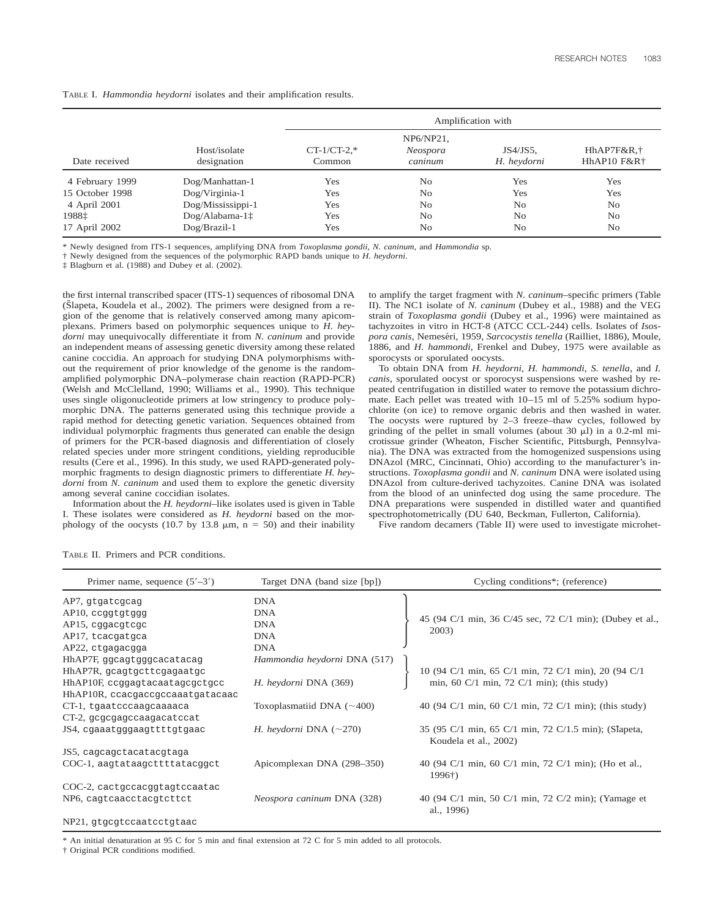|                 |                   | Amplification with |                |                |                |
|-----------------|-------------------|--------------------|----------------|----------------|----------------|
|                 |                   |                    | NP6/NP21,      |                |                |
|                 | Host/isolate      | $CT-1/CT-2.*$      | Neospora       | $JS4/JS5$ ,    | HhAP7F&R,†     |
| Date received   | designation       | Common             | caninum        | H. heydorni    | HhAP10 F&R†    |
| 4 February 1999 | Dog/Manhattan-1   | Yes                | No             | Yes            | Yes            |
| 15 October 1998 | Dog/Virginia-1    | Yes                | N <sub>0</sub> | Yes            | Yes            |
| 4 April 2001    | Dog/Mississippi-1 | Yes                | No             | N <sub>o</sub> | N <sub>0</sub> |
| 1988‡           | $Dog/Alabama-1+$  | Yes                | No             | N <sub>o</sub> | N <sub>o</sub> |
| 17 April 2002   | $Dog/Brazil-1$    | Yes                | No             | N <sub>o</sub> | N <sub>0</sub> |
|                 |                   |                    |                |                |                |

TABLE I. *Hammondia heydorni* isolates and their amplification results.

\* Newly designed from ITS-1 sequences, amplifying DNA from *Toxoplasma gondii*, *N. caninum*, and *Hammondia* sp.

† Newly designed from the sequences of the polymorphic RAPD bands unique to *H. heydorni*.

‡ Blagburn et al. (1988) and Dubey et al. (2002).

the first internal transcribed spacer (ITS-1) sequences of ribosomal DNA (Slapeta, Koudela et al., 2002). The primers were designed from a region of the genome that is relatively conserved among many apicomplexans. Primers based on polymorphic sequences unique to *H. heydorni* may unequivocally differentiate it from *N. caninum* and provide an independent means of assessing genetic diversity among these related canine coccidia. An approach for studying DNA polymorphisms without the requirement of prior knowledge of the genome is the randomamplified polymorphic DNA–polymerase chain reaction (RAPD-PCR) (Welsh and McClelland, 1990; Williams et al., 1990). This technique uses single oligonucleotide primers at low stringency to produce polymorphic DNA. The patterns generated using this technique provide a rapid method for detecting genetic variation. Sequences obtained from individual polymorphic fragments thus generated can enable the design of primers for the PCR-based diagnosis and differentiation of closely related species under more stringent conditions, yielding reproducible results (Cere et al., 1996). In this study, we used RAPD-generated polymorphic fragments to design diagnostic primers to differentiate *H. heydorni* from *N. caninum* and used them to explore the genetic diversity among several canine coccidian isolates.

Information about the *H. heydorni*–like isolates used is given in Table I. These isolates were considered as *H. heydorni* based on the morphology of the oocysts (10.7 by 13.8  $\mu$ m, n = 50) and their inability to amplify the target fragment with *N. caninum*–specific primers (Table II). The NC1 isolate of *N. caninum* (Dubey et al., 1988) and the VEG strain of *Toxoplasma gondii* (Dubey et al., 1996) were maintained as tachyzoites in vitro in HCT-8 (ATCC CCL-244) cells. Isolates of *Isospora canis*, Nemeséri, 1959, *Sarcocystis tenella* (Railliet, 1886), Moule, 1886, and *H. hammondi*, Frenkel and Dubey, 1975 were available as sporocysts or sporulated oocysts.

To obtain DNA from *H. heydorni*, *H. hammondi*, *S. tenella*, and *I. canis*, sporulated oocyst or sporocyst suspensions were washed by repeated centrifugation in distilled water to remove the potassium dichromate. Each pellet was treated with 10–15 ml of 5.25% sodium hypochlorite (on ice) to remove organic debris and then washed in water. The oocysts were ruptured by 2–3 freeze–thaw cycles, followed by grinding of the pellet in small volumes (about 30  $\mu$ l) in a 0.2-ml microtissue grinder (Wheaton, Fischer Scientific, Pittsburgh, Pennsylvania). The DNA was extracted from the homogenized suspensions using DNAzol (MRC, Cincinnati, Ohio) according to the manufacturer's instructions. *Toxoplasma gondii* and *N. caninum* DNA were isolated using DNAzol from culture-derived tachyzoites. Canine DNA was isolated from the blood of an uninfected dog using the same procedure. The DNA preparations were suspended in distilled water and quantified spectrophotometrically (DU 640, Beckman, Fullerton, California).

Five random decamers (Table II) were used to investigate microhet-

| Primer name, sequence $(5'–3')$  | Target DNA (band size [bp])     | Cycling conditions*; (reference)                                                               |  |
|----------------------------------|---------------------------------|------------------------------------------------------------------------------------------------|--|
| AP7, gtgatcgcag                  | <b>DNA</b>                      |                                                                                                |  |
| AP10, ccggtgtggg                 | <b>DNA</b>                      |                                                                                                |  |
| AP15, eggaegtege                 | <b>DNA</b>                      | 45 (94 C/1 min, 36 C/45 sec, 72 C/1 min); (Dubey et al.,                                       |  |
| AP17, tcacgatgca                 | <b>DNA</b>                      | 2003)                                                                                          |  |
| AP22, ctgagacgga                 | <b>DNA</b>                      |                                                                                                |  |
| HhAP7F, ggcagtgggcacatacag       | Hammondia heydorni DNA (517)    |                                                                                                |  |
| HhAP7R, gcagtgcttcgagaatgc       |                                 |                                                                                                |  |
| HhAP10F, ccggagtacaatagcgctgcc   | H. heydorni DNA (369)           | 10 (94 C/1 min, 65 C/1 min, 72 C/1 min), 20 (94 C/1 min, 60 C/1 min, 72 C/1 min); (this study) |  |
| HhAP10R, ccacgaccgccaaatgatacaac |                                 |                                                                                                |  |
| CT-1, tgaatcccaagcaaaaca         | Toxoplasmatiid DNA $(\sim 400)$ | 40 (94 C/1 min, 60 C/1 min, 72 C/1 min); (this study)                                          |  |
| CT-2, gegegageeaagaeateeat       |                                 |                                                                                                |  |
| JS4, cgaaatgggaagttttgtgaac      | H. heydorni DNA $(\sim 270)$    | 35 (95 C/1 min, 65 C/1 min, 72 C/1.5 min); (Slapeta,<br>Koudela et al., 2002)                  |  |
| JS5, cagcagctacatacgtaga         |                                 |                                                                                                |  |
| COC-1, aagtataagcttttatacggct    | Apicomplexan DNA (298–350)      | 40 (94 C/1 min, 60 C/1 min, 72 C/1 min); (Ho et al.,<br>$1996\dagger$                          |  |
| COC-2, cactgccacggtagtccaatac    |                                 |                                                                                                |  |
| NP6, cagtcaacctacgtcttct         | Neospora caninum DNA (328)      | 40 (94 C/1 min, 50 C/1 min, 72 C/2 min); (Yamage et<br>al., 1996)                              |  |
| NP21, gtgcgtccaatcctgtaac        |                                 |                                                                                                |  |

TABLE II. Primers and PCR conditions.

An initial denaturation at 95 C for 5 min and final extension at 72 C for 5 min added to all protocols.

† Original PCR conditions modified.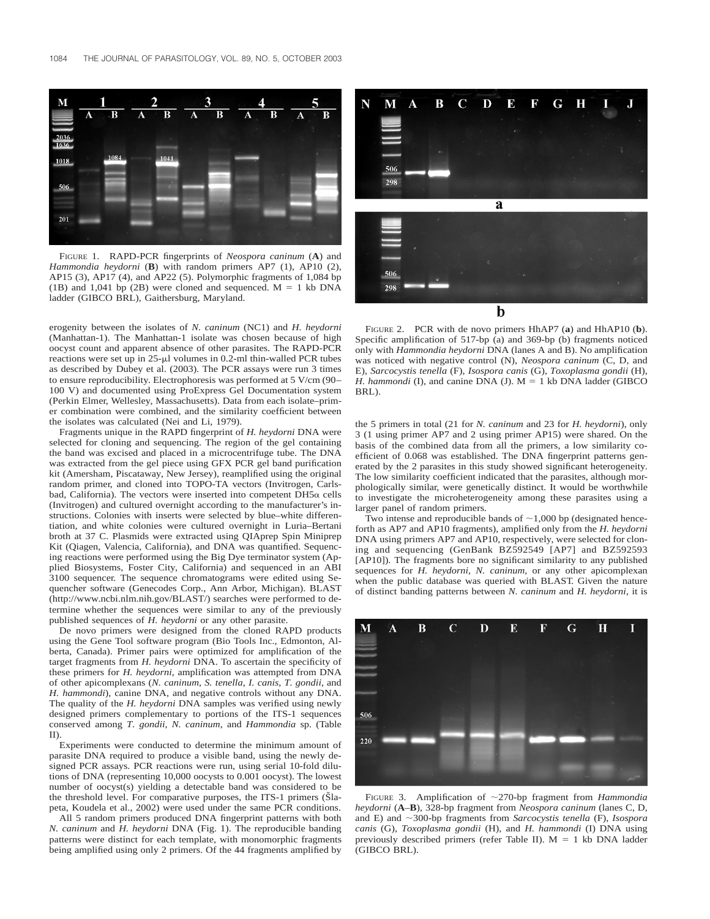

FIGURE 1. RAPD-PCR fingerprints of *Neospora caninum* (**A**) and *Hammondia heydorni* (**B**) with random primers AP7 (1), AP10 (2), AP15 (3), AP17 (4), and AP22 (5). Polymorphic fragments of 1,084 bp (1B) and 1,041 bp (2B) were cloned and sequenced.  $M = 1$  kb DNA ladder (GIBCO BRL), Gaithersburg, Maryland.

erogenity between the isolates of *N. caninum* (NC1) and *H. heydorni* (Manhattan-1). The Manhattan-1 isolate was chosen because of high oocyst count and apparent absence of other parasites. The RAPD-PCR reactions were set up in  $25-\mu l$  volumes in 0.2-ml thin-walled PCR tubes as described by Dubey et al. (2003). The PCR assays were run 3 times to ensure reproducibility. Electrophoresis was performed at 5 V/cm (90– 100 V) and documented using ProExpress Gel Documentation system (Perkin Elmer, Wellesley, Massachusetts). Data from each isolate–primer combination were combined, and the similarity coefficient between the isolates was calculated (Nei and Li, 1979).

Fragments unique in the RAPD fingerprint of *H. heydorni* DNA were selected for cloning and sequencing. The region of the gel containing the band was excised and placed in a microcentrifuge tube. The DNA was extracted from the gel piece using GFX PCR gel band purification kit (Amersham, Piscataway, New Jersey), reamplified using the original random primer, and cloned into TOPO-TA vectors (Invitrogen, Carlsbad, California). The vectors were inserted into competent  $DH5\alpha$  cells (Invitrogen) and cultured overnight according to the manufacturer's instructions. Colonies with inserts were selected by blue–white differentiation, and white colonies were cultured overnight in Luria–Bertani broth at 37 C. Plasmids were extracted using QIAprep Spin Miniprep Kit (Qiagen, Valencia, California), and DNA was quantified. Sequencing reactions were performed using the Big Dye terminator system (Applied Biosystems, Foster City, California) and sequenced in an ABI 3100 sequencer. The sequence chromatograms were edited using Sequencher software (Genecodes Corp., Ann Arbor, Michigan). BLAST (http://www.ncbi.nlm.nih.gov/BLAST/) searches were performed to determine whether the sequences were similar to any of the previously published sequences of *H. heydorni* or any other parasite.

De novo primers were designed from the cloned RAPD products using the Gene Tool software program (Bio Tools Inc., Edmonton, Alberta, Canada). Primer pairs were optimized for amplification of the target fragments from *H. heydorni* DNA. To ascertain the specificity of these primers for *H. heydorni*, amplification was attempted from DNA of other apicomplexans (*N. caninum*, *S. tenella*, *I. canis*, *T. gondii*, and *H. hammondi*), canine DNA, and negative controls without any DNA. The quality of the *H. heydorni* DNA samples was verified using newly designed primers complementary to portions of the ITS-1 sequences conserved among *T. gondii*, *N. caninum*, and *Hammondia* sp. (Table II).

Experiments were conducted to determine the minimum amount of parasite DNA required to produce a visible band, using the newly designed PCR assays. PCR reactions were run, using serial 10-fold dilutions of DNA (representing 10,000 oocysts to 0.001 oocyst). The lowest number of oocyst(s) yielding a detectable band was considered to be the threshold level. For comparative purposes, the ITS-1 primers (Slapeta, Koudela et al., 2002) were used under the same PCR conditions.

All 5 random primers produced DNA fingerprint patterns with both *N. caninum* and *H. heydorni* DNA (Fig. 1). The reproducible banding patterns were distinct for each template, with monomorphic fragments being amplified using only 2 primers. Of the 44 fragments amplified by



FIGURE 2. PCR with de novo primers HhAP7 (**a**) and HhAP10 (**b**). Specific amplification of 517-bp (a) and 369-bp (b) fragments noticed only with *Hammondia heydorni* DNA (lanes A and B). No amplification was noticed with negative control (N), *Neospora caninum* (C, D, and E), *Sarcocystis tenella* (F), *Isospora canis* (G), *Toxoplasma gondii* (H), *H. hammondi* (I), and canine DNA (J).  $M = 1$  kb DNA ladder (GIBCO) BRL).

the 5 primers in total (21 for *N. caninum* and 23 for *H. heydorni*), only 3 (1 using primer AP7 and 2 using primer AP15) were shared. On the basis of the combined data from all the primers, a low similarity coefficient of 0.068 was established. The DNA fingerprint patterns generated by the 2 parasites in this study showed significant heterogeneity. The low similarity coefficient indicated that the parasites, although morphologically similar, were genetically distinct. It would be worthwhile to investigate the microheterogeneity among these parasites using a larger panel of random primers.

Two intense and reproducible bands of  $\sim$ 1,000 bp (designated henceforth as AP7 and AP10 fragments), amplified only from the *H. heydorni* DNA using primers AP7 and AP10, respectively, were selected for cloning and sequencing (GenBank BZ592549 [AP7] and BZ592593 [AP10]). The fragments bore no significant similarity to any published sequences for *H. heydorni*, *N. caninum*, or any other apicomplexan when the public database was queried with BLAST. Given the nature of distinct banding patterns between *N. caninum* and *H. heydorni*, it is



FIGURE 3. Amplification of  $\sim$ 270-bp fragment from *Hammondia heydorni* (**A**–**B**), 328-bp fragment from *Neospora caninum* (lanes C, D, and E) and  $\sim$ 300-bp fragments from *Sarcocystis tenella* (F), *Isospora canis* (G), *Toxoplasma gondii* (H), and *H. hammondi* (I) DNA using previously described primers (refer Table II).  $M = 1$  kb DNA ladder (GIBCO BRL).